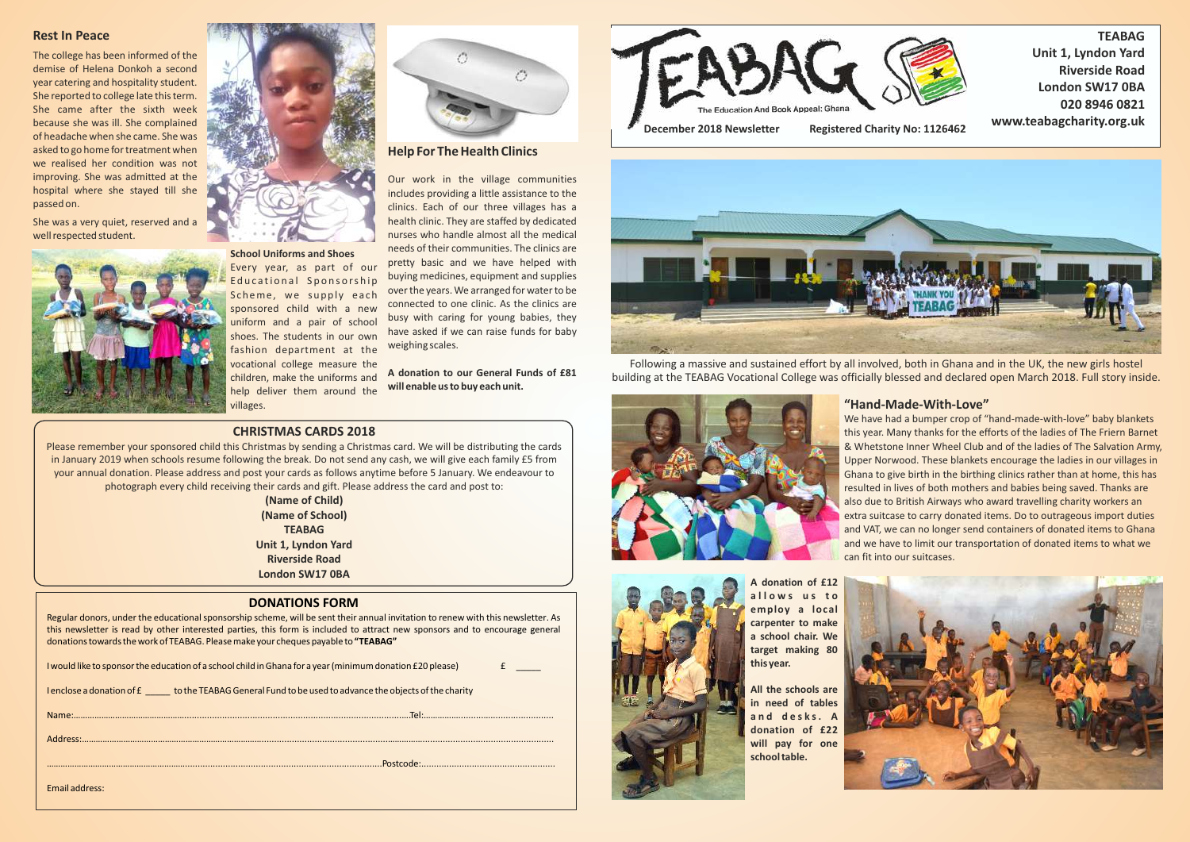#### **DONATIONS FORM**

Regular donors, under the educational sponsorship scheme, will be sent their annual invitation to renew with this newsletter. As this newsletter is read by other interested parties, this form is included to attract new sponsors and to encourage general donations towards the work of TEABAG. Please make your cheques payable to **"TEABAG"**

| I would like to sponsor the education of a school child in Ghana for a year (minimum donation £20 please) |  |
|-----------------------------------------------------------------------------------------------------------|--|
|                                                                                                           |  |

I enclose a donation of £  $\qquad$  to the TEABAG General Fund to be used to advance the objects of the charity





#### **CHRISTMAS CARDS 2018**

Please remember your sponsored child this Christmas by sending a Christmas card. We will be distributing the cards in January 2019 when schools resume following the break. Do not send any cash, we will give each family £5 from your annual donation. Please address and post your cards as follows anytime before 5 January. We endeavour to photograph every child receiving their cards and gift. Please address the card and post to:

> **(Name of Child) (Name of School) TEABAG Unit 1, Lyndon Yard Riverside Road London SW17 0BA**

Following a massive and sustained effort by all involved, both in Ghana and in the UK, the new girls hostel building at the TEABAG Vocational College was officially blessed and declared open March 2018. Full story inside.



**A donation of £12 a l l o w s u s t o employ a local carpenter to make a school chair. We target making 80 this year.**

**All the schools are in need of tables a n d d e s k s . A donation of £22 will pay for one school table.**



# **"Hand-Made-With-Love"**

We have had a bumper crop of "hand-made-with-love" baby blankets this year. Many thanks for the efforts of the ladies of The Friern Barnet & Whetstone Inner Wheel Club and of the ladies of The Salvation Army, Upper Norwood. These blankets encourage the ladies in our villages in Ghana to give birth in the birthing clinics rather than at home, this has resulted in lives of both mothers and babies being saved. Thanks are also due to British Airways who award travelling charity workers an extra suitcase to carry donated items. Do to outrageous import duties and VAT, we can no longer send containers of donated items to Ghana and we have to limit our transportation of donated items to what we can fit into our suitcases.



### **Rest In Peace**

The college has been informed of the demise of Helena Donkoh a second year catering and hospitality student. She reported to college late this term. She came after the sixth week because she was ill. She complained of headache when she came. She was asked to go home for treatment when we realised her condition was not improving. She was admitted at the hospital where she stayed till she passed on.

She was a very quiet, reserved and a well respected student.



**School Uniforms and Shoes**

Every year, as part of our Educational Sponsorship Scheme, we supply each sponsored child with a new uniform and a pair of school shoes. The students in our own fashion department at the vocational college measure the children, make the uniforms and help deliver them around the villages.

# **Help For The Health Clinics**

Our work in the village communities includes providing a little assistance to the clinics. Each of our three villages has a health clinic. They are staffed by dedicated nurses who handle almost all the medical needs of their communities. The clinics are pretty basic and we have helped with buying medicines, equipment and supplies over the years. We arranged for water to be connected to one clinic. As the clinics are busy with caring for young babies, they have asked if we can raise funds for baby weighing scales.

**A donation to our General Funds of £81 will enable us to buy each unit.**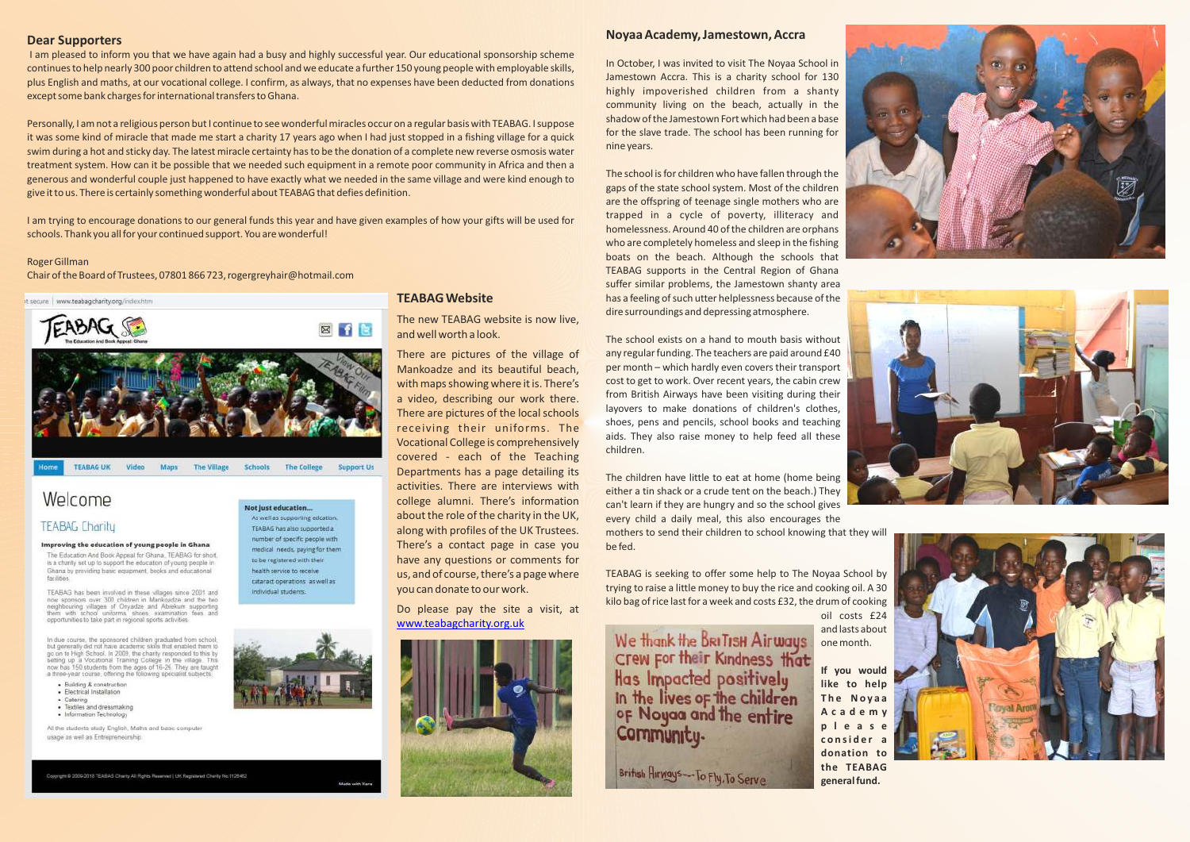#### **Dear Supporters**

I am pleased to inform you that we have again had a busy and highly successful year. Our educational sponsorship scheme continues to help nearly 300 poor children to attend school and we educate a further 150 young people with employable skills, plus English and maths, at our vocational college. I confirm, as always, that no expenses have been deducted from donations except some bank charges for international transfers to Ghana.

Personally, I am not a religious person but I continue to see wonderful miracles occur on a regular basis with TEABAG. I suppose it was some kind of miracle that made me start a charity 17 years ago when I had just stopped in a fishing village for a quick swim during a hot and sticky day. The latest miracle certainty has to be the donation of a complete new reverse osmosis water treatment system. How can it be possible that we needed such equipment in a remote poor community in Africa and then a generous and wonderful couple just happened to have exactly what we needed in the same village and were kind enough to give it to us. There is certainly something wonderful about TEABAG that defies definition.

I am trying to encourage donations to our general funds this year and have given examples of how your gifts will be used for schools. Thank you all for your continued support. You are wonderful!

#### Roger Gillman

Chair of the Board of Trustees, 07801 866 723, rogergreyhair@hotmail.com



# Welcome

### **TEABAG Charity**

#### Improving the education of young people in Ghana

The Education And Book Appeal for Ghana, TEABAG for short. is a charity set up to support the education of young people in Ghana by providing basic equipment, books and educational farithe

TEABAG has been involved in these villages since 2001 and now sponsors over 300 children in Mankoadze and the two neighbouring villages of Onyadze and Abrekum supporting<br>them with school uniforms, shoes, examination fees and opportunities to take part in regional sports activities

In due course, the sponsored children graduated from school,<br>but generally did not have academic skills that enabled them to based on to High School. In 2009, the charity responded to this by<br>go on to High School. In 2009, the charity responded to this by<br>betting up a Vocational Training College in the village. This<br>now has 150 students from the

- · Building & construction
- · Electrical Installation · Caterino
- · Textiles and dressmaking
- · Information Technology

All the students study English, Maths and basic computer usage as well as Entrepreneurship.

Copyright @ 2009-2018 TEABAG Charity All Rights Reserved | UK Registered Charity No.1125462

Not just education... As well as supporting edcation: TEABAG has also supported a number of specific people with medical needs, paying for them to be registered with their. health service to receive cataract operations as well as individual students.



#### **Noyaa Academy, Jamestown, Accra**

In October, I was invited to visit The Noyaa School in Jamestown Accra. This is a charity school for 130 highly impoverished children from a shanty community living on the beach, actually in the shadow of the Jamestown Fort which had been a base for the slave trade. The school has been running for nine years.

The school is for children who have fallen through the gaps of the state school system. Most of the children are the offspring of teenage single mothers who are trapped in a cycle of poverty, illiteracy and homelessness. Around 40 of the children are orphans who are completely homeless and sleep in the fishing boats on the beach. Although the schools that TEABAG supports in the Central Region of Ghana suffer similar problems, the Jamestown shanty area has a feeling of such utter helplessness because of the dire surroundings and depressing atmosphere.

The school exists on a hand to mouth basis without any regular funding. The teachers are paid around £40 per month – which hardly even covers their transport cost to get to work. Over recent years, the cabin crew from British Airways have been visiting during their layovers to make donations of children's clothes, shoes, pens and pencils, school books and teaching aids. They also raise money to help feed all these children.

The children have little to eat at home (home being either a tin shack or a crude tent on the beach.) They can't learn if they are hungry and so the school gives every child a daily meal, this also encourages the

mothers to send their children to school knowing that they will be fed.

TEABAG is seeking to offer some help to The Noyaa School by trying to raise a little money to buy the rice and cooking oil. A 30 kilo bag of rice last for a week and costs £32, the drum of cooking

We thank the BRITISH Airways Crew For their Kindness that Has Impacted positively In the lives of the children of Noyaa and the entire Community.

British Airways-To Fly, To Serve

oil costs £24 and lasts about one month.

**If you would like to help The Novaa A c a d e m y p l e a s e c o n si d e r a donation to the TEABAG general fund.**







# **TEABAG Website**

The new TEABAG website is now live, and well worth a look.

There are pictures of the village of Mankoadze and its beautiful beach, with maps showing where it is. There's a video, describing our work there. There are pictures of the local schools receiving their uniforms. The Vocational College is comprehensively covered - each of the Teaching Departments has a page detailing its activities. There are interviews with college alumni. There's information about the role of the charity in the UK, along with profiles of the UK Trustees. There's a contact page in case you have any questions or comments for us, and of course, there's a page where you can donate to our work.

Do please pay the site a visit, at www.teabagcharity.org.uk

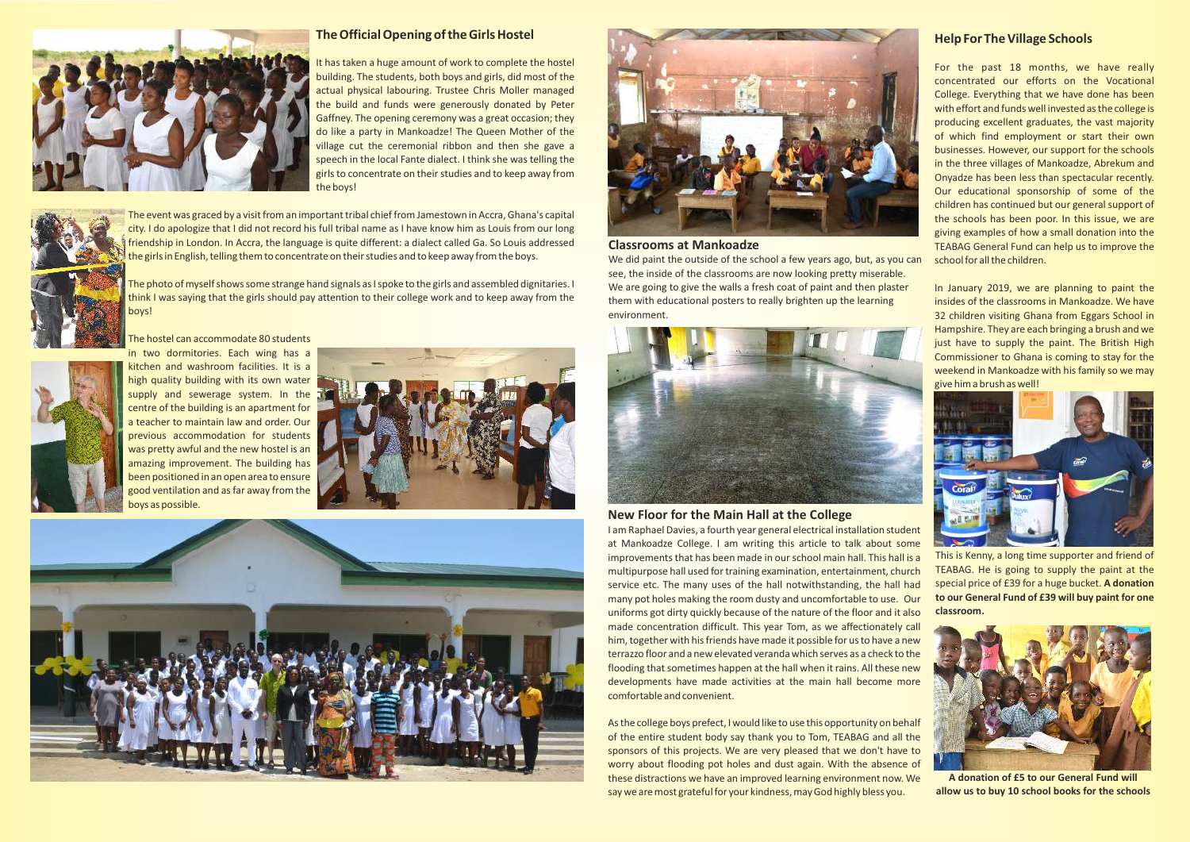# **Help For The Village Schools**

For the past 18 months, we have really concentrated our efforts on the Vocational College. Everything that we have done has been with effort and funds well invested as the college is producing excellent graduates, the vast majority of which find employment or start their own businesses. However, our support for the schools in the three villages of Mankoadze, Abrekum and Onyadze has been less than spectacular recently. Our educational sponsorship of some of the children has continued but our general support of the schools has been poor. In this issue, we are giving examples of how a small donation into the TEABAG General Fund can help us to improve the school for all the children.

We did paint the outside of the school a few years ago, but, as you can see, the inside of the classrooms are now looking pretty miserable. We are going to give the walls a fresh coat of paint and then plaster them with educational posters to really brighten up the learning environment.



In January 2019, we are planning to paint the insides of the classrooms in Mankoadze. We have 32 children visiting Ghana from Eggars School in Hampshire. They are each bringing a brush and we just have to supply the paint. The British High Commissioner to Ghana is coming to stay for the weekend in Mankoadze with his family so we may give him a brush as well!



This is Kenny, a long time supporter and friend of TEABAG. He is going to supply the paint at the special price of £39 for a huge bucket. **A donation to our General Fund of £39 will buy paint for one classroom.**

#### **Classrooms at Mankoadze**

#### **New Floor for the Main Hall at the College**

The photo of myself shows some strange hand signals as I spoke to the girls and assembled dignitaries. I think I was saying that the girls should pay attention to their college work and to keep away from the boys!



I am Raphael Davies, a fourth year general electrical installation student at Mankoadze College. I am writing this article to talk about some improvements that has been made in our school main hall. This hall is a multipurpose hall used for training examination, entertainment, church service etc. The many uses of the hall notwithstanding, the hall had many pot holes making the room dusty and uncomfortable to use. Our uniforms got dirty quickly because of the nature of the floor and it also made concentration difficult. This year Tom, as we affectionately call him, together with his friends have made it possible for us to have a new terrazzo floor and a new elevated veranda which serves as a check to the flooding that sometimes happen at the hall when it rains. All these new developments have made activities at the main hall become more comfortable and convenient.

As the college boys prefect, I would like to use this opportunity on behalf of the entire student body say thank you to Tom, TEABAG and all the sponsors of this projects. We are very pleased that we don't have to worry about flooding pot holes and dust again. With the absence of these distractions we have an improved learning environment now. We say we are most grateful for your kindness, may God highly bless you.







### **The Official Opening of the Girls Hostel**

It has taken a huge amount of work to complete the hostel building. The students, both boys and girls, did most of the actual physical labouring. Trustee Chris Moller managed the build and funds were generously donated by Peter Gaffney. The opening ceremony was a great occasion; they do like a party in Mankoadze! The Queen Mother of the village cut the ceremonial ribbon and then she gave a speech in the local Fante dialect. I think she was telling the girls to concentrate on their studies and to keep away from the boys!



The event was graced by a visit from an important tribal chief from Jamestown in Accra, Ghana's capital city. I do apologize that I did not record his full tribal name as I have know him as Louis from our long friendship in London. In Accra, the language is quite different: a dialect called Ga. So Louis addressed the girls in English, telling them to concentrate on their studies and to keep away from the boys.

The hostel can accommodate 80 students







in two dormitories. Each wing has a kitchen and washroom facilities. It is a high quality building with its own water supply and sewerage system. In the centre of the building is an apartment for a teacher to maintain law and order. Our previous accommodation for students was pretty awful and the new hostel is an amazing improvement. The building has been positioned in an open area to ensure good ventilation and as far away from the boys as possible.



**A donation of £5 to our General Fund will allow us to buy 10 school books for the schools**